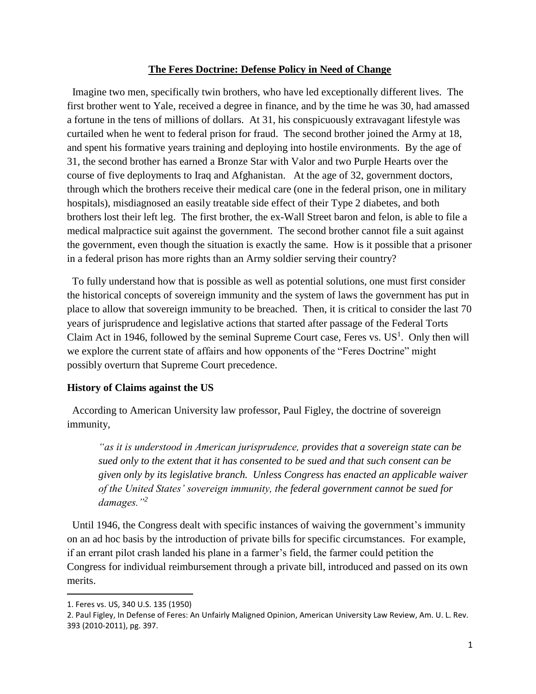## **The Feres Doctrine: Defense Policy in Need of Change**

 Imagine two men, specifically twin brothers, who have led exceptionally different lives. The first brother went to Yale, received a degree in finance, and by the time he was 30, had amassed a fortune in the tens of millions of dollars. At 31, his conspicuously extravagant lifestyle was curtailed when he went to federal prison for fraud. The second brother joined the Army at 18, and spent his formative years training and deploying into hostile environments. By the age of 31, the second brother has earned a Bronze Star with Valor and two Purple Hearts over the course of five deployments to Iraq and Afghanistan. At the age of 32, government doctors, through which the brothers receive their medical care (one in the federal prison, one in military hospitals), misdiagnosed an easily treatable side effect of their Type 2 diabetes, and both brothers lost their left leg. The first brother, the ex-Wall Street baron and felon, is able to file a medical malpractice suit against the government. The second brother cannot file a suit against the government, even though the situation is exactly the same. How is it possible that a prisoner in a federal prison has more rights than an Army soldier serving their country?

 To fully understand how that is possible as well as potential solutions, one must first consider the historical concepts of sovereign immunity and the system of laws the government has put in place to allow that sovereign immunity to be breached. Then, it is critical to consider the last 70 years of jurisprudence and legislative actions that started after passage of the Federal Torts Claim Act in 1946, followed by the seminal Supreme Court case, Feres vs.  $US<sup>1</sup>$ . Only then will we explore the current state of affairs and how opponents of the "Feres Doctrine" might possibly overturn that Supreme Court precedence.

## **History of Claims against the US**

 According to American University law professor, Paul Figley, the doctrine of sovereign immunity,

*"as it is understood in American jurisprudence, provides that a sovereign state can be sued only to the extent that it has consented to be sued and that such consent can be given only by its legislative branch. Unless Congress has enacted an applicable waiver of the United States' sovereign immunity, the federal government cannot be sued for damages."<sup>2</sup>*

 Until 1946, the Congress dealt with specific instances of waiving the government's immunity on an ad hoc basis by the introduction of private bills for specific circumstances. For example, if an errant pilot crash landed his plane in a farmer's field, the farmer could petition the Congress for individual reimbursement through a private bill, introduced and passed on its own merits.

<sup>1.</sup> Feres vs. US, 340 U.S. 135 (1950)

<sup>2.</sup> Paul Figley, In Defense of Feres: An Unfairly Maligned Opinion, American University Law Review, Am. U. L. Rev. 393 (2010-2011), pg. 397.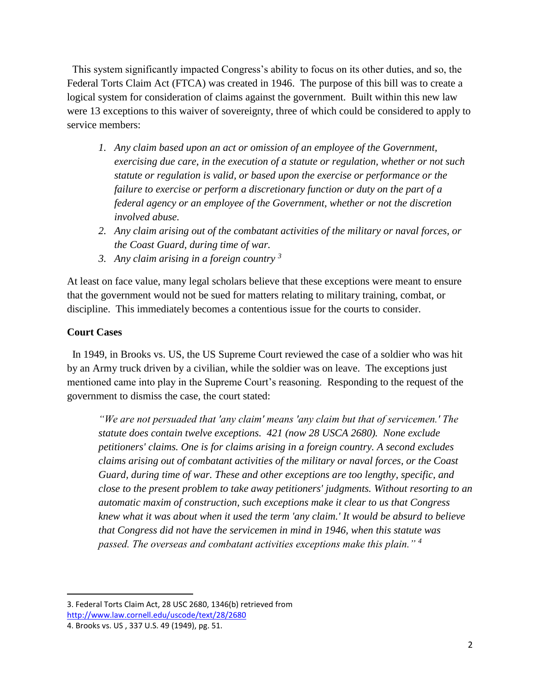This system significantly impacted Congress's ability to focus on its other duties, and so, the Federal Torts Claim Act (FTCA) was created in 1946. The purpose of this bill was to create a logical system for consideration of claims against the government. Built within this new law were 13 exceptions to this waiver of sovereignty, three of which could be considered to apply to service members:

- *1. Any claim based upon an act or omission of an employee of the Government, exercising due care, in the execution of a statute or regulation, whether or not such statute or regulation is valid, or based upon the exercise or performance or the failure to exercise or perform a discretionary function or duty on the part of a federal agency or an employee of the Government, whether or not the discretion involved abuse.*
- *2. Any claim arising out of the combatant activities of the military or naval forces, or the Coast Guard, during time of war.*
- *3. Any claim arising in a foreign country <sup>3</sup>*

At least on face value, many legal scholars believe that these exceptions were meant to ensure that the government would not be sued for matters relating to military training, combat, or discipline. This immediately becomes a contentious issue for the courts to consider.

## **Court Cases**

 $\overline{\phantom{a}}$ 

 In 1949, in Brooks vs. US, the US Supreme Court reviewed the case of a soldier who was hit by an Army truck driven by a civilian, while the soldier was on leave. The exceptions just mentioned came into play in the Supreme Court's reasoning. Responding to the request of the government to dismiss the case, the court stated:

*"We are not persuaded that 'any claim' means 'any claim but that of servicemen.' The statute does contain twelve exceptions. 421 (now 28 USCA 2680). None exclude petitioners' claims. One is for claims arising in a foreign country. A second excludes claims arising out of combatant activities of the military or naval forces, or the Coast Guard, during time of war. These and other exceptions are too lengthy, specific, and close to the present problem to take away petitioners' judgments. Without resorting to an automatic maxim of construction, such exceptions make it clear to us that Congress knew what it was about when it used the term 'any claim.' It would be absurd to believe that Congress did not have the servicemen in mind in 1946, when this statute was passed. The overseas and combatant activities exceptions make this plain." <sup>4</sup>*

<sup>3.</sup> Federal Torts Claim Act, 28 USC 2680, 1346(b) retrieved from <http://www.law.cornell.edu/uscode/text/28/2680>

<sup>4.</sup> Brooks vs. US , 337 U.S. 49 (1949), pg. 51.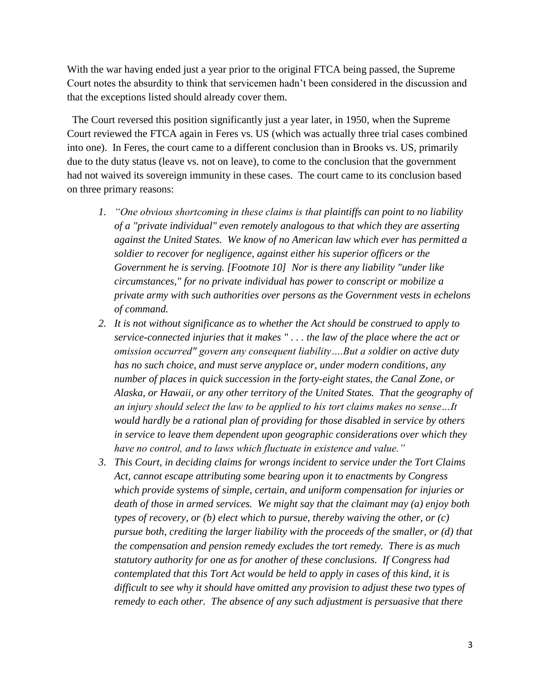With the war having ended just a year prior to the original FTCA being passed, the Supreme Court notes the absurdity to think that servicemen hadn't been considered in the discussion and that the exceptions listed should already cover them.

 The Court reversed this position significantly just a year later, in 1950, when the Supreme Court reviewed the FTCA again in Feres vs. US (which was actually three trial cases combined into one). In Feres, the court came to a different conclusion than in Brooks vs. US, primarily due to the duty status (leave vs. not on leave), to come to the conclusion that the government had not waived its sovereign immunity in these cases. The court came to its conclusion based on three primary reasons:

- *1. "One obvious shortcoming in these claims is that plaintiffs can point to no liability of a "private individual" even remotely analogous to that which they are asserting against the United States. We know of no American law which ever has permitted a soldier to recover for negligence, against either his superior officers or the Government he is serving. [Footnote 10] Nor is there any liability "under like circumstances," for no private individual has power to conscript or mobilize a private army with such authorities over persons as the Government vests in echelons of command.*
- *2. It is not without significance as to whether the Act should be construed to apply to service-connected injuries that it makes " . . . the law of the place where the act or omission occurred" govern any consequent liability….But a soldier on active duty has no such choice, and must serve anyplace or, under modern conditions, any number of places in quick succession in the forty-eight states, the Canal Zone, or Alaska, or Hawaii, or any other territory of the United States. That the geography of an injury should select the law to be applied to his tort claims makes no sense…It would hardly be a rational plan of providing for those disabled in service by others in service to leave them dependent upon geographic considerations over which they have no control, and to laws which fluctuate in existence and value."*
- *3. This Court, in deciding claims for wrongs incident to service under the Tort Claims Act, cannot escape attributing some bearing upon it to enactments by Congress which provide systems of simple, certain, and uniform compensation for injuries or death of those in armed services. We might say that the claimant may (a) enjoy both types of recovery, or (b) elect which to pursue, thereby waiving the other, or (c) pursue both, crediting the larger liability with the proceeds of the smaller, or (d) that the compensation and pension remedy excludes the tort remedy. There is as much statutory authority for one as for another of these conclusions. If Congress had contemplated that this Tort Act would be held to apply in cases of this kind, it is difficult to see why it should have omitted any provision to adjust these two types of remedy to each other. The absence of any such adjustment is persuasive that there*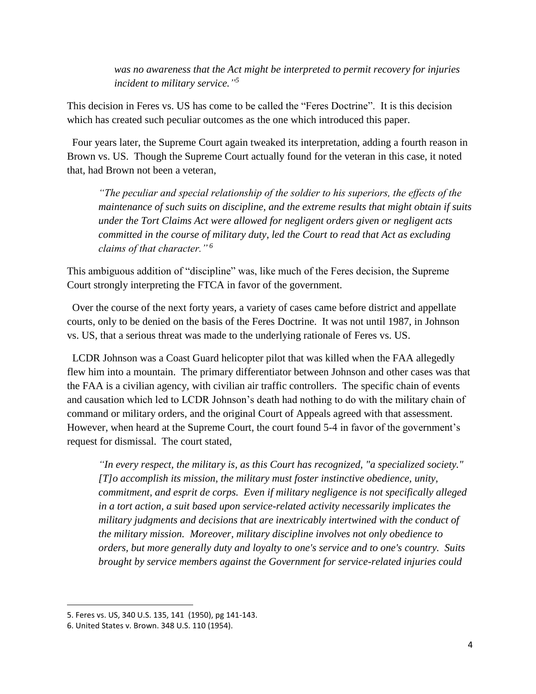*was no awareness that the Act might be interpreted to permit recovery for injuries incident to military service." 5*

This decision in Feres vs. US has come to be called the "Feres Doctrine". It is this decision which has created such peculiar outcomes as the one which introduced this paper.

 Four years later, the Supreme Court again tweaked its interpretation, adding a fourth reason in Brown vs. US. Though the Supreme Court actually found for the veteran in this case, it noted that, had Brown not been a veteran,

*"The peculiar and special relationship of the soldier to his superiors, the effects of the maintenance of such suits on discipline, and the extreme results that might obtain if suits under the Tort Claims Act were allowed for negligent orders given or negligent acts committed in the course of military duty, led the Court to read that Act as excluding claims of that character." <sup>6</sup>*

This ambiguous addition of "discipline" was, like much of the Feres decision, the Supreme Court strongly interpreting the FTCA in favor of the government.

 Over the course of the next forty years, a variety of cases came before district and appellate courts, only to be denied on the basis of the Feres Doctrine. It was not until 1987, in Johnson vs. US, that a serious threat was made to the underlying rationale of Feres vs. US.

 LCDR Johnson was a Coast Guard helicopter pilot that was killed when the FAA allegedly flew him into a mountain. The primary differentiator between Johnson and other cases was that the FAA is a civilian agency, with civilian air traffic controllers. The specific chain of events and causation which led to LCDR Johnson's death had nothing to do with the military chain of command or military orders, and the original Court of Appeals agreed with that assessment. However, when heard at the Supreme Court, the court found 5-4 in favor of the government's request for dismissal. The court stated,

*"In every respect, the military is, as this Court has recognized, "a specialized society." [T]o accomplish its mission, the military must foster instinctive obedience, unity, commitment, and esprit de corps. Even if military negligence is not specifically alleged in a tort action, a suit based upon service-related activity necessarily implicates the military judgments and decisions that are inextricably intertwined with the conduct of the military mission. Moreover, military discipline involves not only obedience to orders, but more generally duty and loyalty to one's service and to one's country. Suits brought by service members against the Government for service-related injuries could* 

<sup>5.</sup> Feres vs. US, 340 U.S. 135, 141 (1950), pg 141-143.

<sup>6.</sup> United States v. Brown. 348 U.S. 110 (1954).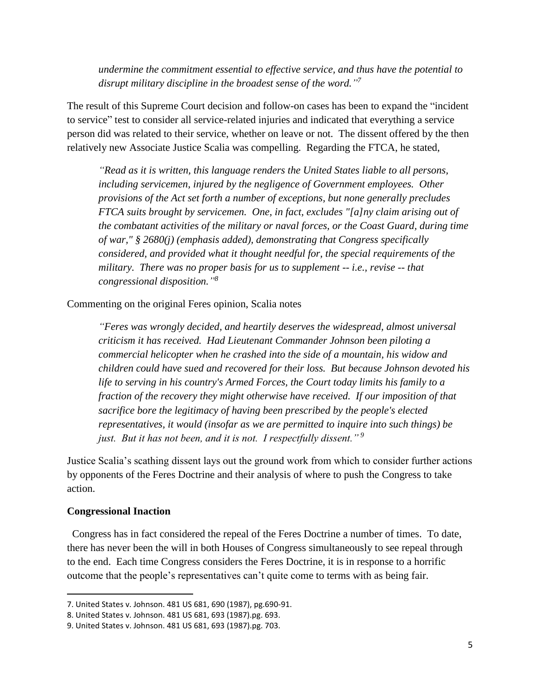*undermine the commitment essential to effective service, and thus have the potential to disrupt military discipline in the broadest sense of the word." 7*

The result of this Supreme Court decision and follow-on cases has been to expand the "incident to service" test to consider all service-related injuries and indicated that everything a service person did was related to their service, whether on leave or not. The dissent offered by the then relatively new Associate Justice Scalia was compelling. Regarding the FTCA, he stated,

*"Read as it is written, this language renders the United States liable to all persons, including servicemen, injured by the negligence of Government employees. Other provisions of the Act set forth a number of exceptions, but none generally precludes FTCA suits brought by servicemen. One, in fact, excludes "[a]ny claim arising out of the combatant activities of the military or naval forces, or the Coast Guard, during time of war," § 2680(j) (emphasis added), demonstrating that Congress specifically considered, and provided what it thought needful for, the special requirements of the military. There was no proper basis for us to supplement -- i.e., revise -- that congressional disposition." 8*

Commenting on the original Feres opinion, Scalia notes

*"Feres was wrongly decided, and heartily deserves the widespread, almost universal criticism it has received. Had Lieutenant Commander Johnson been piloting a commercial helicopter when he crashed into the side of a mountain, his widow and children could have sued and recovered for their loss. But because Johnson devoted his life to serving in his country's Armed Forces, the Court today limits his family to a fraction of the recovery they might otherwise have received. If our imposition of that sacrifice bore the legitimacy of having been prescribed by the people's elected representatives, it would (insofar as we are permitted to inquire into such things) be just. But it has not been, and it is not. I respectfully dissent." <sup>9</sup>*

Justice Scalia's scathing dissent lays out the ground work from which to consider further actions by opponents of the Feres Doctrine and their analysis of where to push the Congress to take action.

#### **Congressional Inaction**

 $\overline{\phantom{a}}$ 

 Congress has in fact considered the repeal of the Feres Doctrine a number of times. To date, there has never been the will in both Houses of Congress simultaneously to see repeal through to the end. Each time Congress considers the Feres Doctrine, it is in response to a horrific outcome that the people's representatives can't quite come to terms with as being fair.

<sup>7.</sup> United States v. Johnson. 481 US 681, 690 (1987), pg.690-91.

<sup>8.</sup> United States v. Johnson. 481 US 681, 693 (1987).pg. 693.

<sup>9.</sup> United States v. Johnson. 481 US 681, 693 (1987).pg. 703.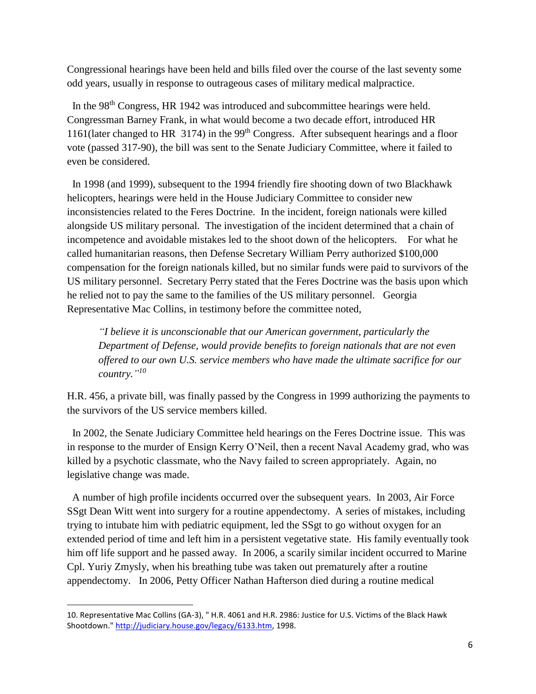Congressional hearings have been held and bills filed over the course of the last seventy some odd years, usually in response to outrageous cases of military medical malpractice.

In the 98<sup>th</sup> Congress, HR 1942 was introduced and subcommittee hearings were held. Congressman Barney Frank, in what would become a two decade effort, introduced HR 1161(later changed to HR  $3174$ ) in the 99<sup>th</sup> Congress. After subsequent hearings and a floor vote (passed 317-90), the bill was sent to the Senate Judiciary Committee, where it failed to even be considered.

 In 1998 (and 1999), subsequent to the 1994 friendly fire shooting down of two Blackhawk helicopters, hearings were held in the House Judiciary Committee to consider new inconsistencies related to the Feres Doctrine. In the incident, foreign nationals were killed alongside US military personal. The investigation of the incident determined that a chain of incompetence and avoidable mistakes led to the shoot down of the helicopters. For what he called humanitarian reasons, then Defense Secretary William Perry authorized \$100,000 compensation for the foreign nationals killed, but no similar funds were paid to survivors of the US military personnel. Secretary Perry stated that the Feres Doctrine was the basis upon which he relied not to pay the same to the families of the US military personnel. Georgia Representative Mac Collins, in testimony before the committee noted,

*"I believe it is unconscionable that our American government, particularly the Department of Defense, would provide benefits to foreign nationals that are not even offered to our own U.S. service members who have made the ultimate sacrifice for our country." 10*

H.R. 456, a private bill, was finally passed by the Congress in 1999 authorizing the payments to the survivors of the US service members killed.

 In 2002, the Senate Judiciary Committee held hearings on the Feres Doctrine issue. This was in response to the murder of Ensign Kerry O'Neil, then a recent Naval Academy grad, who was killed by a psychotic classmate, who the Navy failed to screen appropriately. Again, no legislative change was made.

 A number of high profile incidents occurred over the subsequent years. In 2003, Air Force SSgt Dean Witt went into surgery for a routine appendectomy. A series of mistakes, including trying to intubate him with pediatric equipment, led the SSgt to go without oxygen for an extended period of time and left him in a persistent vegetative state. His family eventually took him off life support and he passed away. In 2006, a scarily similar incident occurred to Marine Cpl. Yuriy Zmysly, when his breathing tube was taken out prematurely after a routine appendectomy. In 2006, Petty Officer Nathan Hafterson died during a routine medical

<sup>10.</sup> Representative Mac Collins (GA-3), " H.R. 4061 and H.R. 2986: Justice for U.S. Victims of the Black Hawk Shootdown." [http://judiciary.house.gov/legacy/6133.htm,](http://judiciary.house.gov/legacy/6133.htm) 1998.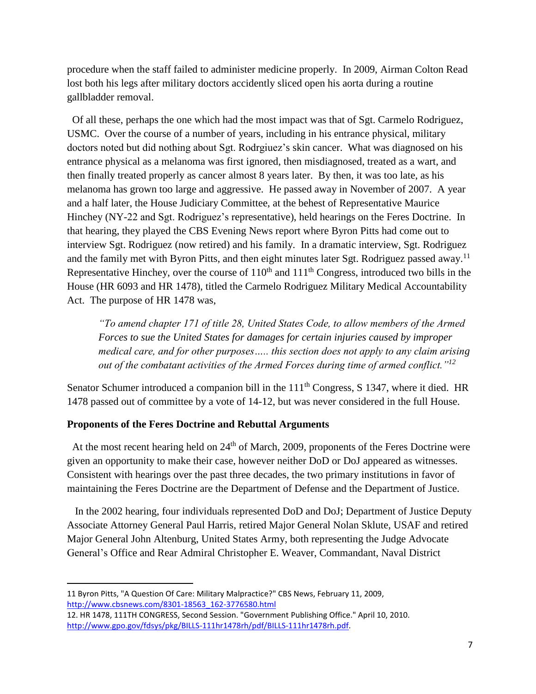procedure when the staff failed to administer medicine properly. In 2009, Airman Colton Read lost both his legs after military doctors accidently sliced open his aorta during a routine gallbladder removal.

 Of all these, perhaps the one which had the most impact was that of Sgt. Carmelo Rodriguez, USMC. Over the course of a number of years, including in his entrance physical, military doctors noted but did nothing about Sgt. Rodrgiuez's skin cancer. What was diagnosed on his entrance physical as a melanoma was first ignored, then misdiagnosed, treated as a wart, and then finally treated properly as cancer almost 8 years later. By then, it was too late, as his melanoma has grown too large and aggressive. He passed away in November of 2007. A year and a half later, the House Judiciary Committee, at the behest of Representative Maurice Hinchey (NY-22 and Sgt. Rodriguez's representative), held hearings on the Feres Doctrine. In that hearing, they played the CBS Evening News report where Byron Pitts had come out to interview Sgt. Rodriguez (now retired) and his family. In a dramatic interview, Sgt. Rodriguez and the family met with Byron Pitts, and then eight minutes later Sgt. Rodriguez passed away.<sup>11</sup> Representative Hinchey, over the course of  $110<sup>th</sup>$  and  $111<sup>th</sup>$  Congress, introduced two bills in the House (HR 6093 and HR 1478), titled the Carmelo Rodriguez Military Medical Accountability Act. The purpose of HR 1478 was,

*"To amend chapter 171 of title 28, United States Code, to allow members of the Armed Forces to sue the United States for damages for certain injuries caused by improper medical care, and for other purposes….. this section does not apply to any claim arising out of the combatant activities of the Armed Forces during time of armed conflict."<sup>12</sup>*

Senator Schumer introduced a companion bill in the 111<sup>th</sup> Congress, S 1347, where it died. HR 1478 passed out of committee by a vote of 14-12, but was never considered in the full House.

## **Proponents of the Feres Doctrine and Rebuttal Arguments**

 $\overline{a}$ 

At the most recent hearing held on  $24<sup>th</sup>$  of March, 2009, proponents of the Feres Doctrine were given an opportunity to make their case, however neither DoD or DoJ appeared as witnesses. Consistent with hearings over the past three decades, the two primary institutions in favor of maintaining the Feres Doctrine are the Department of Defense and the Department of Justice.

 In the 2002 hearing, four individuals represented DoD and DoJ; Department of Justice Deputy Associate Attorney General Paul Harris, retired Major General Nolan Sklute, USAF and retired Major General John Altenburg, United States Army, both representing the Judge Advocate General's Office and Rear Admiral Christopher E. Weaver, Commandant, Naval District

<sup>11</sup> Byron Pitts, "A Question Of Care: Military Malpractice?" CBS News, February 11, 2009, [http://www.cbsnews.com/8301-18563\\_162-3776580.html](http://www.cbsnews.com/8301-18563_162-3776580.html)

<sup>12.</sup> HR 1478, 111TH CONGRESS, Second Session. "Government Publishing Office." April 10, 2010. [http://www.gpo.gov/fdsys/pkg/BILLS-111hr1478rh/pdf/BILLS-111hr1478rh.pdf.](http://www.gpo.gov/fdsys/pkg/BILLS-111hr1478rh/pdf/BILLS-111hr1478rh.pdf)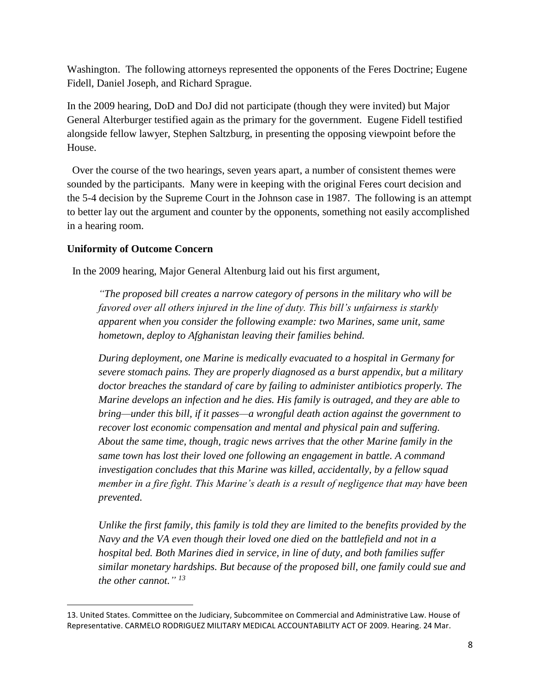Washington. The following attorneys represented the opponents of the Feres Doctrine; Eugene Fidell, Daniel Joseph, and Richard Sprague.

In the 2009 hearing, DoD and DoJ did not participate (though they were invited) but Major General Alterburger testified again as the primary for the government. Eugene Fidell testified alongside fellow lawyer, Stephen Saltzburg, in presenting the opposing viewpoint before the House.

 Over the course of the two hearings, seven years apart, a number of consistent themes were sounded by the participants. Many were in keeping with the original Feres court decision and the 5-4 decision by the Supreme Court in the Johnson case in 1987. The following is an attempt to better lay out the argument and counter by the opponents, something not easily accomplished in a hearing room.

# **Uniformity of Outcome Concern**

l

In the 2009 hearing, Major General Altenburg laid out his first argument,

*"The proposed bill creates a narrow category of persons in the military who will be favored over all others injured in the line of duty. This bill's unfairness is starkly apparent when you consider the following example: two Marines, same unit, same hometown, deploy to Afghanistan leaving their families behind.* 

*During deployment, one Marine is medically evacuated to a hospital in Germany for severe stomach pains. They are properly diagnosed as a burst appendix, but a military doctor breaches the standard of care by failing to administer antibiotics properly. The Marine develops an infection and he dies. His family is outraged, and they are able to bring—under this bill, if it passes—a wrongful death action against the government to recover lost economic compensation and mental and physical pain and suffering. About the same time, though, tragic news arrives that the other Marine family in the same town has lost their loved one following an engagement in battle. A command investigation concludes that this Marine was killed, accidentally, by a fellow squad member in a fire fight. This Marine's death is a result of negligence that may have been prevented.*

*Unlike the first family, this family is told they are limited to the benefits provided by the Navy and the VA even though their loved one died on the battlefield and not in a hospital bed. Both Marines died in service, in line of duty, and both families suffer similar monetary hardships. But because of the proposed bill, one family could sue and the other cannot." <sup>13</sup>*

<sup>13.</sup> United States. Committee on the Judiciary, Subcommitee on Commercial and Administrative Law. House of Representative. CARMELO RODRIGUEZ MILITARY MEDICAL ACCOUNTABILITY ACT OF 2009. Hearing. 24 Mar.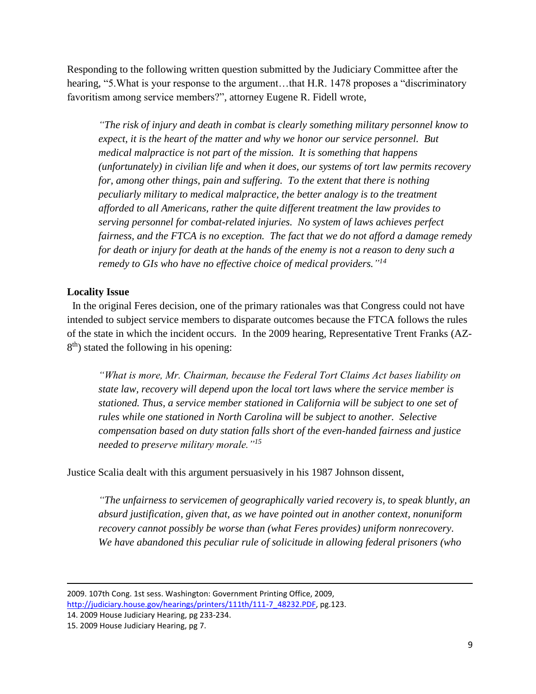Responding to the following written question submitted by the Judiciary Committee after the hearing, "5. What is your response to the argument...that H.R. 1478 proposes a "discriminatory" favoritism among service members?", attorney Eugene R. Fidell wrote,

*"The risk of injury and death in combat is clearly something military personnel know to expect, it is the heart of the matter and why we honor our service personnel. But medical malpractice is not part of the mission. It is something that happens (unfortunately) in civilian life and when it does, our systems of tort law permits recovery for, among other things, pain and suffering. To the extent that there is nothing peculiarly military to medical malpractice, the better analogy is to the treatment afforded to all Americans, rather the quite different treatment the law provides to serving personnel for combat-related injuries. No system of laws achieves perfect fairness, and the FTCA is no exception. The fact that we do not afford a damage remedy for death or injury for death at the hands of the enemy is not a reason to deny such a remedy to GIs who have no effective choice of medical providers." 14*

#### **Locality Issue**

In the original Feres decision, one of the primary rationales was that Congress could not have intended to subject service members to disparate outcomes because the FTCA follows the rules of the state in which the incident occurs. In the 2009 hearing, Representative Trent Franks (AZ- $8<sup>th</sup>$ ) stated the following in his opening:

*"What is more, Mr. Chairman, because the Federal Tort Claims Act bases liability on state law, recovery will depend upon the local tort laws where the service member is stationed. Thus, a service member stationed in California will be subject to one set of rules while one stationed in North Carolina will be subject to another. Selective compensation based on duty station falls short of the even-handed fairness and justice needed to preserve military morale."<sup>15</sup>*

Justice Scalia dealt with this argument persuasively in his 1987 Johnson dissent,

*"The unfairness to servicemen of geographically varied recovery is, to speak bluntly, an absurd justification, given that, as we have pointed out in another context, nonuniform recovery cannot possibly be worse than (what Feres provides) uniform nonrecovery. We have abandoned this peculiar rule of solicitude in allowing federal prisoners (who* 

 $\overline{a}$ 

<sup>2009. 107</sup>th Cong. 1st sess. Washington: Government Printing Office, 2009, [http://judiciary.house.gov/hearings/printers/111th/111-7\\_48232.PDF,](http://judiciary.house.gov/hearings/printers/111th/111-7_48232.PDF) pg.123.

<sup>14.</sup> 2009 House Judiciary Hearing, pg 233-234.

<sup>15.</sup> 2009 House Judiciary Hearing, pg 7.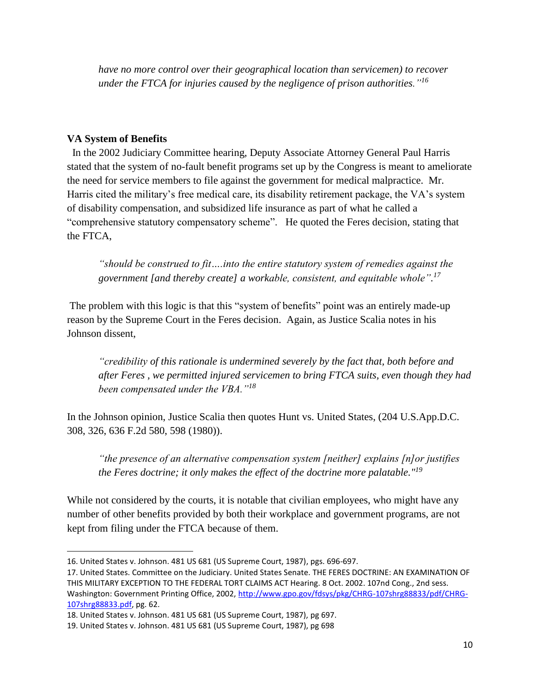*have no more control over their geographical location than servicemen) to recover under the FTCA for injuries caused by the negligence of prison authorities."<sup>16</sup>*

## **VA System of Benefits**

 $\overline{\phantom{a}}$ 

 In the 2002 Judiciary Committee hearing, Deputy Associate Attorney General Paul Harris stated that the system of no-fault benefit programs set up by the Congress is meant to ameliorate the need for service members to file against the government for medical malpractice. Mr. Harris cited the military's free medical care, its disability retirement package, the VA's system of disability compensation, and subsidized life insurance as part of what he called a "comprehensive statutory compensatory scheme". He quoted the Feres decision, stating that the FTCA,

*"should be construed to fit….into the entire statutory system of remedies against the government [and thereby create] a workable, consistent, and equitable whole". 17*

The problem with this logic is that this "system of benefits" point was an entirely made-up reason by the Supreme Court in the Feres decision. Again, as Justice Scalia notes in his Johnson dissent,

*"credibility of this rationale is undermined severely by the fact that, both before and after Feres , we permitted injured servicemen to bring FTCA suits, even though they had been compensated under the VBA."<sup>18</sup>*

In the Johnson opinion, Justice Scalia then quotes Hunt vs. United States, (204 U.S.App.D.C. 308, 326, 636 F.2d 580, 598 (1980)).

*"the presence of an alternative compensation system [neither] explains [n]or justifies the Feres doctrine; it only makes the effect of the doctrine more palatable."<sup>19</sup>*

While not considered by the courts, it is notable that civilian employees, who might have any number of other benefits provided by both their workplace and government programs, are not kept from filing under the FTCA because of them.

<sup>16.</sup> United States v. Johnson. 481 US 681 (US Supreme Court, 1987), pgs. 696-697.

<sup>17.</sup> United States. Committee on the Judiciary. United States Senate. THE FERES DOCTRINE: AN EXAMINATION OF THIS MILITARY EXCEPTION TO THE FEDERAL TORT CLAIMS ACT Hearing. 8 Oct. 2002. 107nd Cong., 2nd sess. Washington: Government Printing Office, 2002, [http://www.gpo.gov/fdsys/pkg/CHRG-107shrg88833/pdf/CHRG-](http://www.gpo.gov/fdsys/pkg/CHRG-107shrg88833/pdf/CHRG-107shrg88833.pdf)[107shrg88833.pdf,](http://www.gpo.gov/fdsys/pkg/CHRG-107shrg88833/pdf/CHRG-107shrg88833.pdf) pg. 62.

<sup>18.</sup> United States v. Johnson. 481 US 681 (US Supreme Court, 1987), pg 697.

<sup>19.</sup> United States v. Johnson. 481 US 681 (US Supreme Court, 1987), pg 698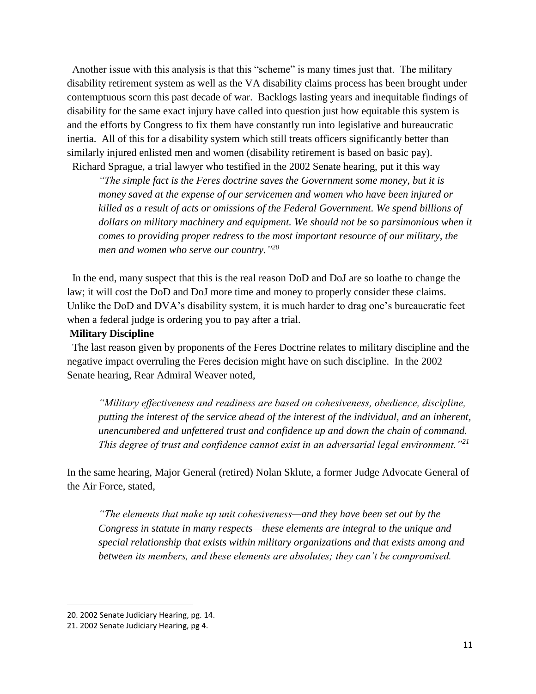Another issue with this analysis is that this "scheme" is many times just that. The military disability retirement system as well as the VA disability claims process has been brought under contemptuous scorn this past decade of war. Backlogs lasting years and inequitable findings of disability for the same exact injury have called into question just how equitable this system is and the efforts by Congress to fix them have constantly run into legislative and bureaucratic inertia. All of this for a disability system which still treats officers significantly better than similarly injured enlisted men and women (disability retirement is based on basic pay). Richard Sprague, a trial lawyer who testified in the 2002 Senate hearing, put it this way

*"The simple fact is the Feres doctrine saves the Government some money, but it is money saved at the expense of our servicemen and women who have been injured or killed as a result of acts or omissions of the Federal Government. We spend billions of dollars on military machinery and equipment. We should not be so parsimonious when it comes to providing proper redress to the most important resource of our military, the men and women who serve our country." 20*

 In the end, many suspect that this is the real reason DoD and DoJ are so loathe to change the law; it will cost the DoD and DoJ more time and money to properly consider these claims. Unlike the DoD and DVA's disability system, it is much harder to drag one's bureaucratic feet when a federal judge is ordering you to pay after a trial.

## **Military Discipline**

 The last reason given by proponents of the Feres Doctrine relates to military discipline and the negative impact overruling the Feres decision might have on such discipline. In the 2002 Senate hearing, Rear Admiral Weaver noted,

*"Military effectiveness and readiness are based on cohesiveness, obedience, discipline, putting the interest of the service ahead of the interest of the individual, and an inherent, unencumbered and unfettered trust and confidence up and down the chain of command. This degree of trust and confidence cannot exist in an adversarial legal environment."<sup>21</sup>*

In the same hearing, Major General (retired) Nolan Sklute, a former Judge Advocate General of the Air Force, stated,

*"The elements that make up unit cohesiveness—and they have been set out by the Congress in statute in many respects—these elements are integral to the unique and special relationship that exists within military organizations and that exists among and between its members, and these elements are absolutes; they can't be compromised.* 

<sup>20.</sup> 2002 Senate Judiciary Hearing, pg. 14.

<sup>21.</sup> 2002 Senate Judiciary Hearing, pg 4.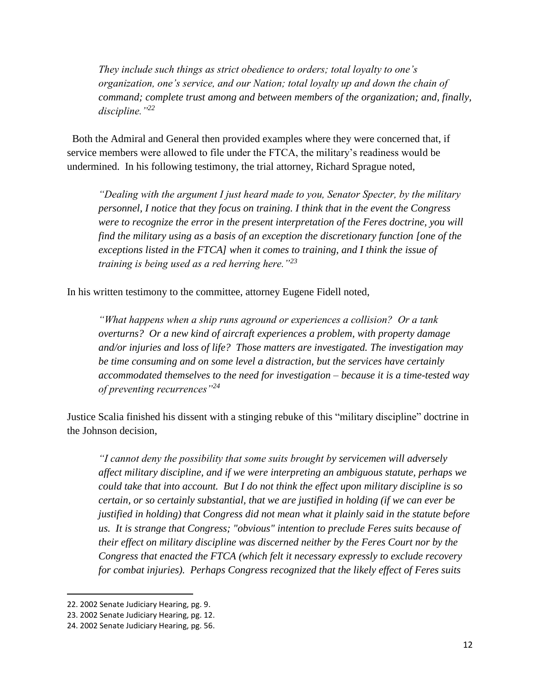*They include such things as strict obedience to orders; total loyalty to one's organization, one's service, and our Nation; total loyalty up and down the chain of command; complete trust among and between members of the organization; and, finally, discipline."<sup>22</sup>*

 Both the Admiral and General then provided examples where they were concerned that, if service members were allowed to file under the FTCA, the military's readiness would be undermined. In his following testimony, the trial attorney, Richard Sprague noted,

*"Dealing with the argument I just heard made to you, Senator Specter, by the military personnel, I notice that they focus on training. I think that in the event the Congress were to recognize the error in the present interpretation of the Feres doctrine, you will find the military using as a basis of an exception the discretionary function [one of the exceptions listed in the FTCA] when it comes to training, and I think the issue of training is being used as a red herring here."<sup>23</sup>*

In his written testimony to the committee, attorney Eugene Fidell noted,

*"What happens when a ship runs aground or experiences a collision? Or a tank overturns? Or a new kind of aircraft experiences a problem, with property damage and/or injuries and loss of life? Those matters are investigated. The investigation may be time consuming and on some level a distraction, but the services have certainly accommodated themselves to the need for investigation – because it is a time-tested way of preventing recurrences"<sup>24</sup>*

Justice Scalia finished his dissent with a stinging rebuke of this "military discipline" doctrine in the Johnson decision,

*"I cannot deny the possibility that some suits brought by servicemen will adversely affect military discipline, and if we were interpreting an ambiguous statute, perhaps we could take that into account. But I do not think the effect upon military discipline is so certain, or so certainly substantial, that we are justified in holding (if we can ever be justified in holding) that Congress did not mean what it plainly said in the statute before us. It is strange that Congress; "obvious" intention to preclude Feres suits because of their effect on military discipline was discerned neither by the Feres Court nor by the Congress that enacted the FTCA (which felt it necessary expressly to exclude recovery for combat injuries). Perhaps Congress recognized that the likely effect of Feres suits* 

<sup>22.</sup> 2002 Senate Judiciary Hearing, pg. 9.

<sup>23. 2002</sup> Senate Judiciary Hearing, pg. 12.

<sup>24.</sup> 2002 Senate Judiciary Hearing, pg. 56.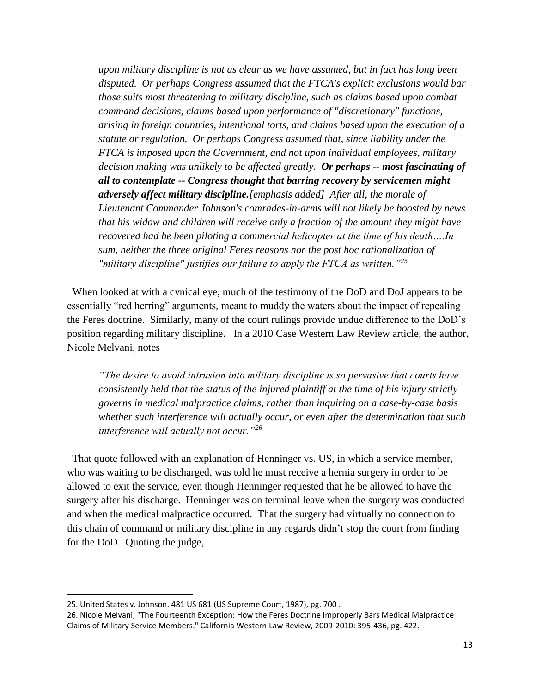*upon military discipline is not as clear as we have assumed, but in fact has long been disputed. Or perhaps Congress assumed that the FTCA's explicit exclusions would bar those suits most threatening to military discipline, such as claims based upon combat command decisions, claims based upon performance of "discretionary" functions, arising in foreign countries, intentional torts, and claims based upon the execution of a statute or regulation. Or perhaps Congress assumed that, since liability under the FTCA is imposed upon the Government, and not upon individual employees, military decision making was unlikely to be affected greatly. Or perhaps -- most fascinating of all to contemplate -- Congress thought that barring recovery by servicemen might adversely affect military discipline.[emphasis added] After all, the morale of Lieutenant Commander Johnson's comrades-in-arms will not likely be boosted by news that his widow and children will receive only a fraction of the amount they might have recovered had he been piloting a commercial helicopter at the time of his death….In sum, neither the three original Feres reasons nor the post hoc rationalization of "military discipline" justifies our failure to apply the FTCA as written."<sup>25</sup>*

 When looked at with a cynical eye, much of the testimony of the DoD and DoJ appears to be essentially "red herring" arguments, meant to muddy the waters about the impact of repealing the Feres doctrine. Similarly, many of the court rulings provide undue difference to the DoD's position regarding military discipline. In a 2010 Case Western Law Review article, the author, Nicole Melvani, notes

*"The desire to avoid intrusion into military discipline is so pervasive that courts have consistently held that the status of the injured plaintiff at the time of his injury strictly governs in medical malpractice claims, rather than inquiring on a case-by-case basis whether such interference will actually occur, or even after the determination that such interference will actually not occur."<sup>26</sup>*

 That quote followed with an explanation of Henninger vs. US, in which a service member, who was waiting to be discharged, was told he must receive a hernia surgery in order to be allowed to exit the service, even though Henninger requested that he be allowed to have the surgery after his discharge. Henninger was on terminal leave when the surgery was conducted and when the medical malpractice occurred. That the surgery had virtually no connection to this chain of command or military discipline in any regards didn't stop the court from finding for the DoD. Quoting the judge,

<sup>25.</sup> United States v. Johnson. 481 US 681 (US Supreme Court, 1987), pg. 700 .

<sup>26.</sup> Nicole Melvani, "The Fourteenth Exception: How the Feres Doctrine Improperly Bars Medical Malpractice Claims of Military Service Members." California Western Law Review, 2009-2010: 395-436, pg. 422.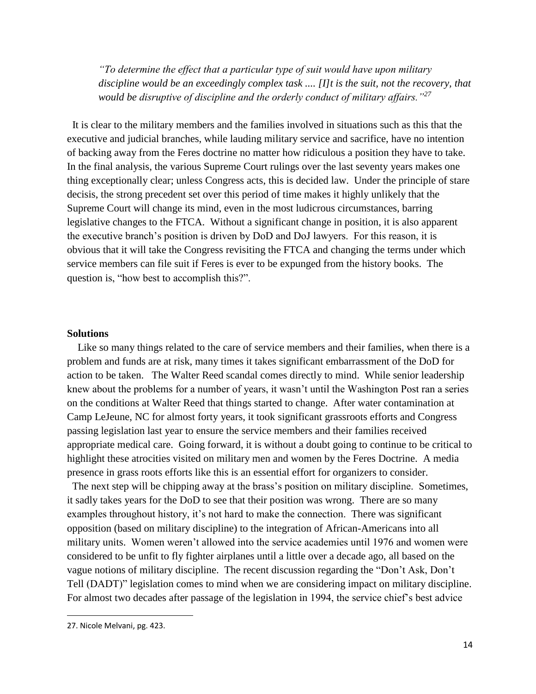*"To determine the effect that a particular type of suit would have upon military discipline would be an exceedingly complex task .... [I]t is the suit, not the recovery, that would be disruptive of discipline and the orderly conduct of military affairs."<sup>27</sup>*

 It is clear to the military members and the families involved in situations such as this that the executive and judicial branches, while lauding military service and sacrifice, have no intention of backing away from the Feres doctrine no matter how ridiculous a position they have to take. In the final analysis, the various Supreme Court rulings over the last seventy years makes one thing exceptionally clear; unless Congress acts, this is decided law. Under the principle of stare decisis, the strong precedent set over this period of time makes it highly unlikely that the Supreme Court will change its mind, even in the most ludicrous circumstances, barring legislative changes to the FTCA. Without a significant change in position, it is also apparent the executive branch's position is driven by DoD and DoJ lawyers. For this reason, it is obvious that it will take the Congress revisiting the FTCA and changing the terms under which service members can file suit if Feres is ever to be expunged from the history books. The question is, "how best to accomplish this?".

#### **Solutions**

 Like so many things related to the care of service members and their families, when there is a problem and funds are at risk, many times it takes significant embarrassment of the DoD for action to be taken. The Walter Reed scandal comes directly to mind. While senior leadership knew about the problems for a number of years, it wasn't until the Washington Post ran a series on the conditions at Walter Reed that things started to change. After water contamination at Camp LeJeune, NC for almost forty years, it took significant grassroots efforts and Congress passing legislation last year to ensure the service members and their families received appropriate medical care. Going forward, it is without a doubt going to continue to be critical to highlight these atrocities visited on military men and women by the Feres Doctrine. A media presence in grass roots efforts like this is an essential effort for organizers to consider.

The next step will be chipping away at the brass's position on military discipline. Sometimes, it sadly takes years for the DoD to see that their position was wrong. There are so many examples throughout history, it's not hard to make the connection. There was significant opposition (based on military discipline) to the integration of African-Americans into all military units. Women weren't allowed into the service academies until 1976 and women were considered to be unfit to fly fighter airplanes until a little over a decade ago, all based on the vague notions of military discipline. The recent discussion regarding the "Don't Ask, Don't Tell (DADT)" legislation comes to mind when we are considering impact on military discipline. For almost two decades after passage of the legislation in 1994, the service chief's best advice

<sup>27.</sup> Nicole Melvani, pg. 423.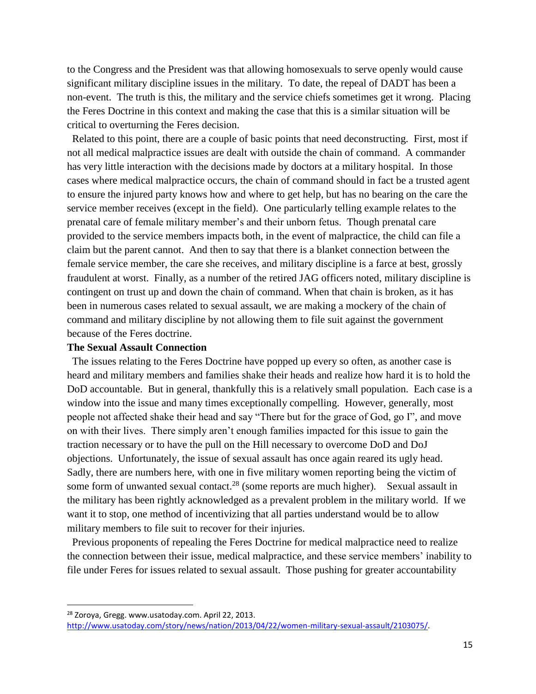to the Congress and the President was that allowing homosexuals to serve openly would cause significant military discipline issues in the military. To date, the repeal of DADT has been a non-event. The truth is this, the military and the service chiefs sometimes get it wrong. Placing the Feres Doctrine in this context and making the case that this is a similar situation will be critical to overturning the Feres decision.

 Related to this point, there are a couple of basic points that need deconstructing. First, most if not all medical malpractice issues are dealt with outside the chain of command. A commander has very little interaction with the decisions made by doctors at a military hospital. In those cases where medical malpractice occurs, the chain of command should in fact be a trusted agent to ensure the injured party knows how and where to get help, but has no bearing on the care the service member receives (except in the field). One particularly telling example relates to the prenatal care of female military member's and their unborn fetus. Though prenatal care provided to the service members impacts both, in the event of malpractice, the child can file a claim but the parent cannot. And then to say that there is a blanket connection between the female service member, the care she receives, and military discipline is a farce at best, grossly fraudulent at worst. Finally, as a number of the retired JAG officers noted, military discipline is contingent on trust up and down the chain of command. When that chain is broken, as it has been in numerous cases related to sexual assault, we are making a mockery of the chain of command and military discipline by not allowing them to file suit against the government because of the Feres doctrine.

## **The Sexual Assault Connection**

 The issues relating to the Feres Doctrine have popped up every so often, as another case is heard and military members and families shake their heads and realize how hard it is to hold the DoD accountable. But in general, thankfully this is a relatively small population. Each case is a window into the issue and many times exceptionally compelling. However, generally, most people not affected shake their head and say "There but for the grace of God, go I", and move on with their lives. There simply aren't enough families impacted for this issue to gain the traction necessary or to have the pull on the Hill necessary to overcome DoD and DoJ objections. Unfortunately, the issue of sexual assault has once again reared its ugly head. Sadly, there are numbers here, with one in five military women reporting being the victim of some form of unwanted sexual contact.<sup>28</sup> (some reports are much higher). Sexual assault in the military has been rightly acknowledged as a prevalent problem in the military world. If we want it to stop, one method of incentivizing that all parties understand would be to allow military members to file suit to recover for their injuries.

 Previous proponents of repealing the Feres Doctrine for medical malpractice need to realize the connection between their issue, medical malpractice, and these service members' inability to file under Feres for issues related to sexual assault. Those pushing for greater accountability

<sup>28</sup> Zoroya, Gregg. www.usatoday.com. April 22, 2013.

[http://www.usatoday.com/story/news/nation/2013/04/22/women-military-sexual-assault/2103075/.](http://www.usatoday.com/story/news/nation/2013/04/22/women-military-sexual-assault/2103075/)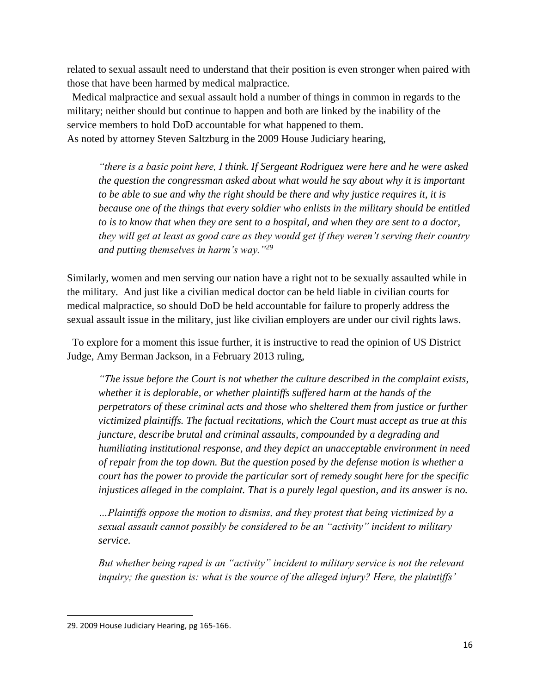related to sexual assault need to understand that their position is even stronger when paired with those that have been harmed by medical malpractice.

 Medical malpractice and sexual assault hold a number of things in common in regards to the military; neither should but continue to happen and both are linked by the inability of the service members to hold DoD accountable for what happened to them. As noted by attorney Steven Saltzburg in the 2009 House Judiciary hearing,

*"there is a basic point here, I think. If Sergeant Rodriguez were here and he were asked the question the congressman asked about what would he say about why it is important to be able to sue and why the right should be there and why justice requires it, it is because one of the things that every soldier who enlists in the military should be entitled to is to know that when they are sent to a hospital, and when they are sent to a doctor, they will get at least as good care as they would get if they weren't serving their country and putting themselves in harm's way."<sup>29</sup>*

Similarly, women and men serving our nation have a right not to be sexually assaulted while in the military. And just like a civilian medical doctor can be held liable in civilian courts for medical malpractice, so should DoD be held accountable for failure to properly address the sexual assault issue in the military, just like civilian employers are under our civil rights laws.

 To explore for a moment this issue further, it is instructive to read the opinion of US District Judge, Amy Berman Jackson, in a February 2013 ruling,

*"The issue before the Court is not whether the culture described in the complaint exists, whether it is deplorable, or whether plaintiffs suffered harm at the hands of the perpetrators of these criminal acts and those who sheltered them from justice or further victimized plaintiffs. The factual recitations, which the Court must accept as true at this juncture, describe brutal and criminal assaults, compounded by a degrading and humiliating institutional response, and they depict an unacceptable environment in need of repair from the top down. But the question posed by the defense motion is whether a court has the power to provide the particular sort of remedy sought here for the specific injustices alleged in the complaint. That is a purely legal question, and its answer is no.* 

*…Plaintiffs oppose the motion to dismiss, and they protest that being victimized by a sexual assault cannot possibly be considered to be an "activity" incident to military service.*

*But whether being raped is an "activity" incident to military service is not the relevant inquiry; the question is: what is the source of the alleged injury? Here, the plaintiffs'* 

<sup>29.</sup> 2009 House Judiciary Hearing, pg 165-166.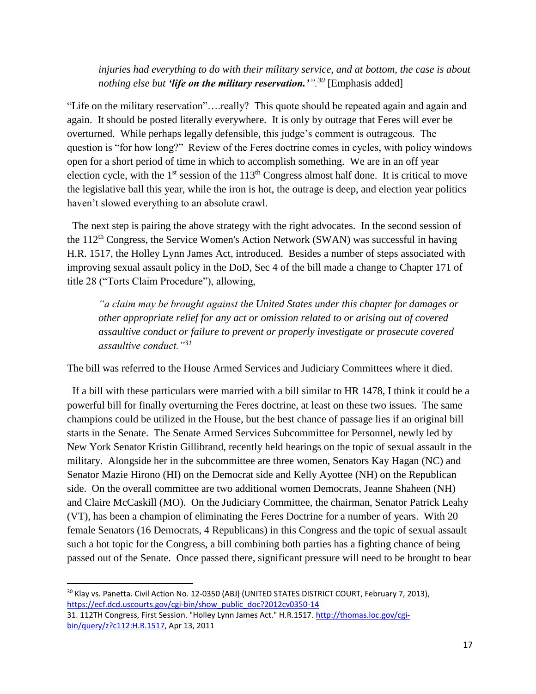*injuries had everything to do with their military service, and at bottom, the case is about nothing else but 'life on the military reservation.'".<sup>30</sup>* [Emphasis added]

"Life on the military reservation"….really? This quote should be repeated again and again and again. It should be posted literally everywhere. It is only by outrage that Feres will ever be overturned. While perhaps legally defensible, this judge's comment is outrageous. The question is "for how long?" Review of the Feres doctrine comes in cycles, with policy windows open for a short period of time in which to accomplish something. We are in an off year election cycle, with the  $1<sup>st</sup>$  session of the  $113<sup>th</sup>$  Congress almost half done. It is critical to move the legislative ball this year, while the iron is hot, the outrage is deep, and election year politics haven't slowed everything to an absolute crawl.

 The next step is pairing the above strategy with the right advocates. In the second session of the 112<sup>th</sup> Congress, the Service Women's Action Network (SWAN) was successful in having H.R. 1517, the Holley Lynn James Act, introduced. Besides a number of steps associated with improving sexual assault policy in the DoD, Sec 4 of the bill made a change to Chapter 171 of title 28 ("Torts Claim Procedure"), allowing,

*"a claim may be brought against the United States under this chapter for damages or other appropriate relief for any act or omission related to or arising out of covered assaultive conduct or failure to prevent or properly investigate or prosecute covered assaultive conduct."<sup>31</sup>*

The bill was referred to the House Armed Services and Judiciary Committees where it died.

 If a bill with these particulars were married with a bill similar to HR 1478, I think it could be a powerful bill for finally overturning the Feres doctrine, at least on these two issues. The same champions could be utilized in the House, but the best chance of passage lies if an original bill starts in the Senate. The Senate Armed Services Subcommittee for Personnel, newly led by New York Senator Kristin Gillibrand, recently held hearings on the topic of sexual assault in the military. Alongside her in the subcommittee are three women, Senators Kay Hagan (NC) and Senator Mazie Hirono (HI) on the Democrat side and Kelly Ayottee (NH) on the Republican side. On the overall committee are two additional women Democrats, Jeanne Shaheen (NH) and Claire McCaskill (MO). On the Judiciary Committee, the chairman, Senator Patrick Leahy (VT), has been a champion of eliminating the Feres Doctrine for a number of years. With 20 female Senators (16 Democrats, 4 Republicans) in this Congress and the topic of sexual assault such a hot topic for the Congress, a bill combining both parties has a fighting chance of being passed out of the Senate. Once passed there, significant pressure will need to be brought to bear

 $\overline{a}$ 

<sup>&</sup>lt;sup>30</sup> Klay vs. Panetta. Civil Action No. 12-0350 (ABJ) (UNITED STATES DISTRICT COURT, February 7, 2013), [https://ecf.dcd.uscourts.gov/cgi-bin/show\\_public\\_doc?2012cv0350-14](https://ecf.dcd.uscourts.gov/cgi-bin/show_public_doc?2012cv0350-14)

<sup>31.</sup> 112TH Congress, First Session. "Holley Lynn James Act." H.R.1517. [http://thomas.loc.gov/cgi](http://thomas.loc.gov/cgi-bin/query/z?c112:H.R.1517)[bin/query/z?c112:H.R.1517,](http://thomas.loc.gov/cgi-bin/query/z?c112:H.R.1517) Apr 13, 2011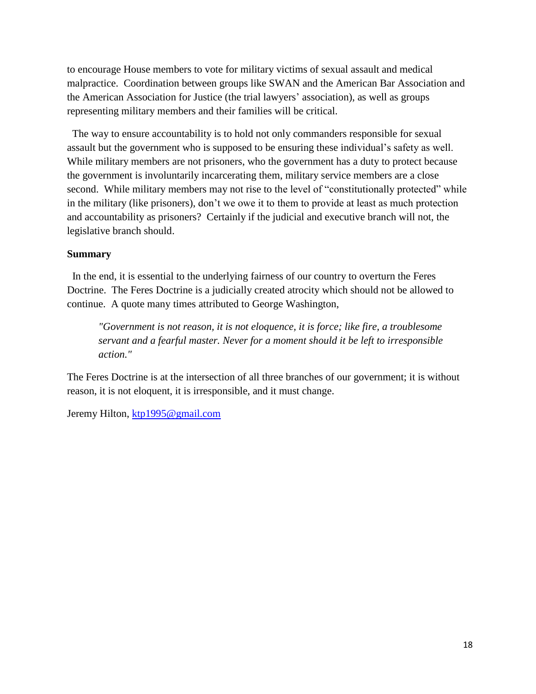to encourage House members to vote for military victims of sexual assault and medical malpractice. Coordination between groups like SWAN and the American Bar Association and the American Association for Justice (the trial lawyers' association), as well as groups representing military members and their families will be critical.

 The way to ensure accountability is to hold not only commanders responsible for sexual assault but the government who is supposed to be ensuring these individual's safety as well. While military members are not prisoners, who the government has a duty to protect because the government is involuntarily incarcerating them, military service members are a close second. While military members may not rise to the level of "constitutionally protected" while in the military (like prisoners), don't we owe it to them to provide at least as much protection and accountability as prisoners? Certainly if the judicial and executive branch will not, the legislative branch should.

### **Summary**

 In the end, it is essential to the underlying fairness of our country to overturn the Feres Doctrine. The Feres Doctrine is a judicially created atrocity which should not be allowed to continue. A quote many times attributed to George Washington,

*"Government is not reason, it is not eloquence, it is force; like fire, a troublesome servant and a fearful master. Never for a moment should it be left to irresponsible action."*

The Feres Doctrine is at the intersection of all three branches of our government; it is without reason, it is not eloquent, it is irresponsible, and it must change.

Jeremy Hilton, [ktp1995@gmail.com](mailto:ktp1995@gmail.com)